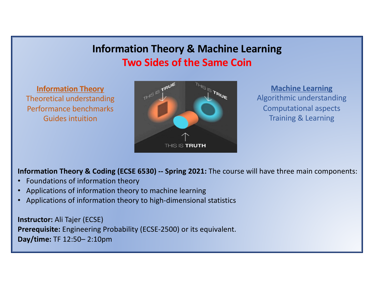# **Information Theory & Machine Learning Two Sides of the Same Coin**

**Information Theory** Theoretical understanding Performance benchmarks Guides intuition



**Machine Learning** Algorithmic understanding Computational aspects Training & Learning

**Information Theory & Coding (ECSE 6530) -- Spring 2021:** The course will have three main components:

- •Foundations of information theory
- •Applications of information theory to machine learning
- •Applications of information theory to high-dimensional statistics

**Instructor:** Ali Tajer (ECSE) **Prerequisite:** Engineering Probability (ECSE-2500) or its equivalent. **Day/time:** TF 12:50 – 2:10pm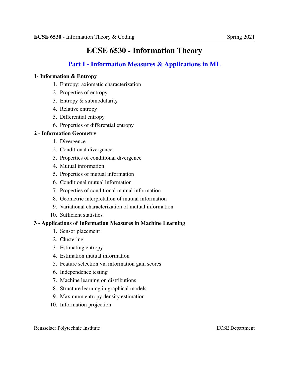## ECSE 6530 - Information Theory

## Part I - Information Measures & Applications in ML

#### 1- Information  $& Entropy$

- 1. Entropy: axiomatic characterization
- 2. Properties of entropy
- 3. Entropy & submodularity
- 4. Relative entropy
- 5. Differential entropy
- 6. Properties of differential entropy

#### 2 - Information Geometry

- 1. Divergence
- 2. Conditional divergence
- 3. Properties of conditional divergence
- 4. Mutual information
- 5. Properties of mutual information
- 6. Conditional mutual information
- 7. Properties of conditional mutual information
- 8. Geometric interpretation of mutual information
- 9. Variational characterization of mutual information
- 10. Sufficient statistics

#### 3 - Applications of Information Measures in Machine Learning

- 1. Sensor placement
- 2. Clustering
- 3. Estimating entropy
- 4. Estimation mutual information
- 5. Feature selection via information gain scores
- 6. Independence testing
- 7. Machine learning on distributions
- 8. Structure learning in graphical models
- 9. Maximum entropy density estimation
- 10. Information projection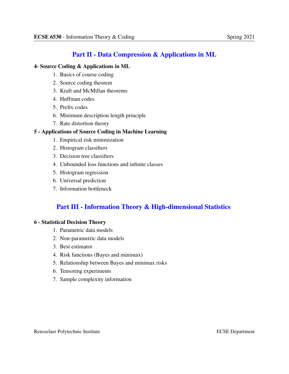### Part II - Data Compression & Applications in ML

#### 4- Source Coding & Applications in ML

- 1. Basics of course coding
- 2. Source coding theorem
- 3. Kraft and McMillan theorems
- 4. Huffman codes
- 5. Prefix codes
- 6. Minimum description length principle
- 7. Rate distortion theory

#### 5 - Applications of Source Coding in Machine Learning

- 1. Empirical risk minimization
- 2. Histogram classifiers
- 3. Decision tree classifiers
- 4. Unbounded loss functions and infinite classes
- 5. Histogram regression
- 6. Universal prediction
- 7. Information bottleneck

## Part III - Information Theory & High-dimensional Statistics

#### **6 - Statistical Decision Theory**

- 1. Parametric data models
- 2. Non-parametric data models
- 3. Best estimator
- 4. Risk functions (Bayes and minimax)
- 5. Relationship between Bayes and minimax risks
- 6. Tensoring experiments
- 7. Sample complexity information